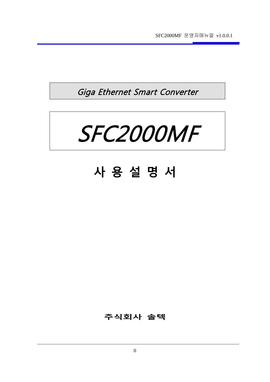SFC2000MF 운영자매뉴얼 v1.0.0.1

Giga Ethernet Smart Converter



# **사 용 설 명 서**

### **주식회사 솔텍**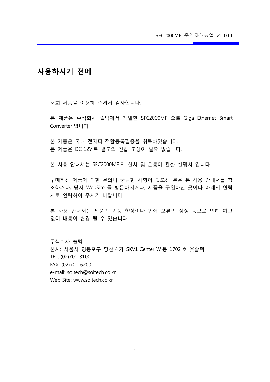### **사용하시기 전에**

저희 제품을 이용해 주셔서 감사합니다.

본 제품은 주식회사 솔텍에서 개발한 SFC2000MF 으로 Giga Ethernet Smart Converter 입니다.

본 제품은 국내 전자파 적합등록필증을 취득하였습니다. 본 제품은 DC 12V 로 별도의 전압 조정이 필요 없습니다.

본 사용 안내서는 SFC2000MF 의 설치 및 운용에 관한 설명서 입니다.

구매하신 제품에 대한 문의나 궁금한 사항이 있으신 분은 본 사용 안내서를 참 조하거나, 당사 WebSite 를 방문하시거나, 제품을 구입하신 곳이나 아래의 연락 처로 연락하여 주시기 바랍니다.

본 사용 안내서는 제품의 기능 향상이나 인쇄 오류의 정정 등으로 인해 예고 없이 내용이 변경 될 수 있습니다.

주식회사 솔텍 본사: 서울시 영등포구 당산 4 가 SKV1 Center W 동 1702 호 ㈜솔텍 TEL: (02)701-8100 FAX: (02)701-6200 e-mail: soltech@soltech.co.kr Web Site: www.soltech.co.kr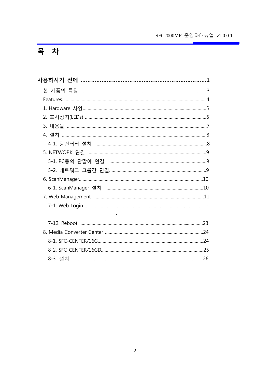### SFC2000MF 운영자매뉴얼 v1.0.0.1

# 목 차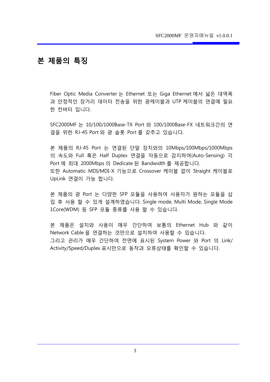### **본 제품의 특징**

Fiber Optic Media Converter 는 Ethernet 또는 Giga Ethernet 에서 넓은 대역폭 과 안정적인 장거리 데이터 전송을 위한 광케이블과 UTP 케이블의 연결에 필요 한 컨버터 입니다.

SFC2000MF 는 10/100/1000Base-TX Port 와 100/1000Base-FX 네트워크간의 연 결을 위한 RJ-45 Port 와 광 슬롯 Port 를 갖추고 있습니다.

본 제품의 RJ-45 Port 는 연결된 단말 장치와의 10Mbps/100Mbps/1000Mbps 의 속도와 Full 혹은 Half Duplex 연결을 자동으로 감지하여(Auto-Sensing) 각 Port 에 최대 2000Mbps 의 Dedicate 된 Bandwidth 를 제공합니다. 또한 Automatic MDI/MDI-X 기능으로 Crossover 케이블 없이 Straight 케이블로 UpLink 연결이 가능 합니다.

본 제품의 광 Port 는 다양한 SFP 모듈을 사용하여 사용자가 원하는 모듈을 삽 입 후 사용 할 수 있게 설계하였습니다. Single mode, Multi Mode, Single Mode 1Core(WDM) 등 SFP 모듈 종류를 사용 할 수 있습니다.

본 제품은 설치와 사용이 매우 간단하여 보통의 Ethernet Hub 와 같이 Network Cable 을 연결하는 것만으로 설치하여 사용할 수 있습니다. 그리고 관리가 매우 간단하여 전면에 표시된 System Power 와 Port 의 Link/ Activity/Speed/Duplex 표시만으로 동작과 오류상태를 확인할 수 있습니다.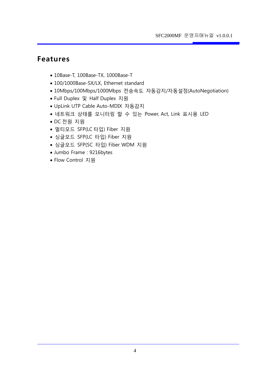# **Features**

- 10Base-T, 100Base-TX, 1000Base-T
- 100/1000Base-SX/LX, Ethernet standard
- 10Mbps/100Mbps/1000Mbps 전송속도 자동감지/자동설정(AutoNegotiation)
- Full Duplex 및 Half Duplex 지원
- UpLink UTP Cable Auto-MDIX 자동감지
- 네트워크 상태를 모니터링 할 수 있는 Power, Act, Link 표시용 LED
- DC 전원 지원
- 멀티모드 SFP(LC 타입) Fiber 지원
- 싱글모드 SFP(LC 타입) Fiber 지원
- 싱글모드 SFP(SC 타입) Fiber WDM 지원
- Jumbo Frame : 9216bytes
- Flow Control 지원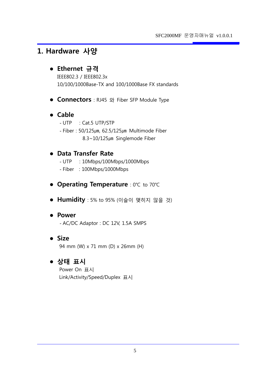### **1. Hardware 사양**

### **Ethernet 규격**

IEEE802.3 / IEEE802.3x 10/100/1000Base-TX and 100/1000Base FX standards

**Connectors** : RJ45 와 Fiber SFP Module Type

### **Cable**

- UTP : Cat.5 UTP/STP
- $-$  Fiber : 50/125 $\mu$ m, 62.5/125 $\mu$ m Multimode Fiber 8.3~10/125µm Singlemode Fiber

### **Data Transfer Rate**

- UTP : 10Mbps/100Mbps/1000Mbps
- Fiber : 100Mbps/1000Mbps
- **Operating Temperature** : 0℃ to 70℃
- **Humidity** : 5% to 95% (이슬이 맺히지 않을 것)

#### **Power**

- AC/DC Adaptor : DC 12V, 1.5A SMPS

 **Size** 94 mm (W) x 71 mm (D) x 26mm (H)

### **상태 표시**

Power On 표시 Link/Activity/Speed/Duplex 표시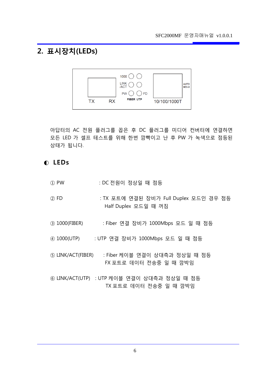# **2. 표시장치(LEDs)**



아답터의 AC 전원 플러그를 꼽은 후 DC 플러그를 미디어 컨버터에 연결하면 모든 LED 가 셀프 테스트를 위해 한번 깜빡이고 난 후 PW 가 녹색으로 점등된 상태가 됩니다.

#### ◐ **LEDs**

- ① PW : DC 전원이 정상일 때 점등
- ② FD : TX 포트에 연결된 장비가 Full Duplex 모드인 경우 점등 Half Duplex 모드일 때 꺼짐
- ③ 1000(FIBER) : Fiber 연결 장비가 1000Mbps 모드 일 때 점등
- ④ 1000(UTP) : UTP 연결 장비가 1000Mbps 모드 일 때 점등
- ⑤ LINK/ACT(FIBER) : Fiber 케이블 연결이 상대측과 정상일 때 점등 FX 포트로 데이터 전송중 일 때 깜박임
- ⑥ LINK/ACT(UTP) : UTP 케이블 연결이 상대측과 정상일 때 점등 TX 포트로 데이터 전송중 일 때 깜박임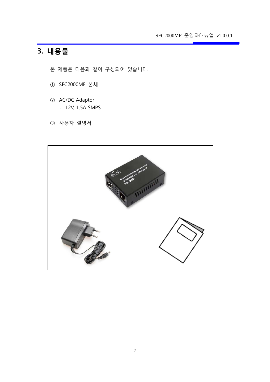SFC2000MF 운영자매뉴얼 v1.0.0.1

# **3. 내용물**

본 제품은 다음과 같이 구성되어 있습니다.

- ① SFC2000MF 본체
- ② AC/DC Adaptor - 12V, 1.5A SMPS
- ③ 사용자 설명서

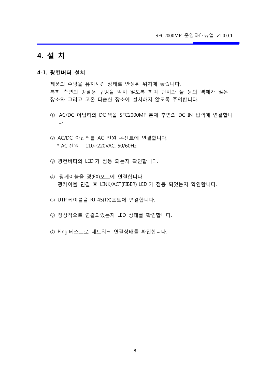### **4. 설 치**

#### **4-1. 광컨버터 설치**

제품의 수평을 유지시킨 상태로 안정된 위치에 놓습니다. 특히 측면의 방열용 구멍을 막지 않도록 하며 먼지와 물 등의 액체가 많은 장소와 그리고 고온 다습한 장소에 설치하지 않도록 주의합니다.

- ① AC/DC 아답터의 DC 잭을 SFC2000MF 본체 후면의 DC IN 입력에 연결합니 다.
- ② AC/DC 아답터를 AC 전원 콘센트에 연결합니다. \* AC 전원 – 110~220VAC, 50/60Hz
- ③ 광컨버터의 LED 가 점등 되는지 확인합니다.
- ④ 광케이블을 광(FX)포트에 연결합니다. 광케이블 연결 후 LINK/ACT(FIBER) LED 가 점등 되었는지 확인합니다.
- ⑤ UTP 케이블을 RJ-45(TX)포트에 연결합니다.
- ⑥ 정상적으로 연결되었는지 LED 상태를 확인합니다.
- ⑦ Ping 테스트로 네트워크 연결상태를 확인합니다.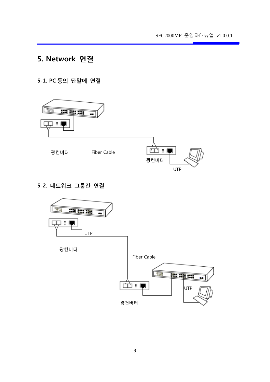# **5. Network 연결**

#### **5-1. PC 등의 단말에 연결**



#### **5-2. 네트워크 그룹간 연결**

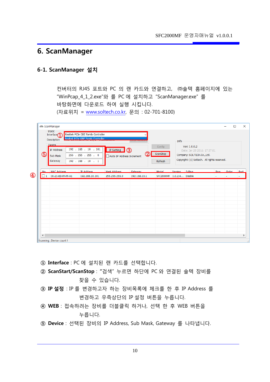### **6. ScanManager**

#### **6-1. ScanManager 설치**

컨버터의 RJ45 포트와 PC 의 랜 카드와 연결하고, ㈜솔텍 홈페이지에 있는 "WinPcap\_4\_1\_2.exe"와 를 PC 에 설치하고 "ScanManager.exe" 를 바탕화면에 다운로드 하여 실행 시킵니다. (자료위치 = [www.soltech.co.kr,](http://www.soltech.co.kr/) 문의 : 02-701-8100)

| $\circledS$ | Description<br>Device<br><b>IP Address</b><br>Sub Mask<br>Gateway | Realtek PCIe GBE Family Controller<br>192 . 168 . 10 . 101<br>255 . 255 . 255 . 0<br>192 . 168 . 10 . 1 | IP Setting<br>Auto IP Address Increment | (2)     | Config<br>ScanStop<br>Refresh | Info           | Ver: 1.0.0.2<br>Date: Jan 28 2016, 17:37:01<br>Company: SOLTECH.Co.,Ltd.<br>Copyright: (c) Soltech. All rights reserved. |                 |  |
|-------------|-------------------------------------------------------------------|---------------------------------------------------------------------------------------------------------|-----------------------------------------|---------|-------------------------------|----------------|--------------------------------------------------------------------------------------------------------------------------|-----------------|--|
| No.         | MAC Address                                                       | <b>IP Address</b>                                                                                       | Mask Address                            | Gateway | Model                         | Version S-Ring |                                                                                                                          | Ring Order Port |  |
|             |                                                                   |                                                                                                         |                                         |         |                               |                |                                                                                                                          |                 |  |

- **① Interface** : PC 에 설치된 랜 카드를 선택합니다.
- **② ScanStart/ScanStop** : **"**검색" 누르면 하단에 PC 와 연결된 솔텍 장비를 찾을 수 있습니다.
- **③ IP 설정** : IP 를 변경하고자 하는 장비목록에 체크를 한 후 IP Address 를 변경하고 우측상단의 IP 설정 버튼을 누릅니다.
- **④ WEB** : 접속하려는 장비를 더블클릭 하거나, 선택 한 후 WEB 버튼을 누릅니다.
- **⑤ Device** : 선택된 장비의 IP Address, Sub Mask, Gateway 를 나타냅니다.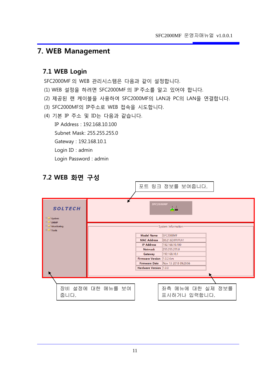# **7. WEB Management**

#### **7.1 WEB Login**

SFC2000MF 의 WEB 관리시스템은 다음과 같이 설정합니다.

- (1) WEB 설정을 하려면 SFC2000MF 의 IP 주소를 알고 있어야 합니다.
- (2) 제공된 랜 케이블을 사용하여 SFC2000MF의 LAN과 PC의 LAN을 연결합니다.
- (3) SFC2000MF의 IP주소로 WEB 접속을 시도합니다.
- (4) 기본 IP 주소 및 ID는 다음과 같습니다. IP Address : 192.168.10.100 Subnet Mask: 255.255.255.0 Gateway : 192.168.10.1 Login ID : admin Login Password : admin



### **7.2 WEB 화면 구성**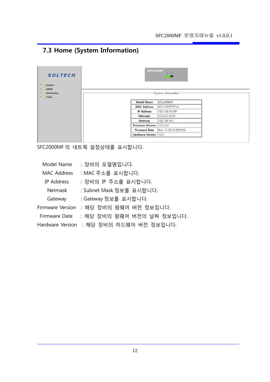# **7.3 Home (System Information)**

| <b>SOLTECH</b><br>$\Box$ System<br>$\Box$ SNMP<br>$\Box$ Monitoring<br>$\Box$ Tools |                        | SFC2000MF<br>$\frac{1}{2}$<br>System Information- |
|-------------------------------------------------------------------------------------|------------------------|---------------------------------------------------|
|                                                                                     | <b>Model Name</b>      | SFC2000MF                                         |
|                                                                                     | <b>MAC Address</b>     | 00:21:6D:FF:FF:A1                                 |
|                                                                                     | <b>IP Address</b>      | 192.168.10.100                                    |
|                                                                                     | Netmask                | 255.255.255.0                                     |
|                                                                                     | Gateway                | 192.168.10.1                                      |
|                                                                                     |                        | Firmware Version 1.0.2.4.m                        |
|                                                                                     |                        | <b>Firmware Date</b> Nov 13 2018 09:29:56         |
|                                                                                     | Hardware Version 1.0.0 |                                                   |
|                                                                                     |                        |                                                   |

SFC2000MF 의 네트웍 설정상태를 표시합니다.

| Model Name         | : 장비의 모델명입니다.                            |
|--------------------|------------------------------------------|
| <b>MAC Address</b> | : MAC 주소를 표시합니다.                         |
| IP Address         | : 장비의 IP 주소를 표시합니다.                      |
| Netmask            | : Subnet Mask 정보를 표시합니다.                 |
| Gateway            | : Gateway 정보를 표시합니다.                     |
| Firmware Version   | : 해당 장비의 펌웨어 버전 정보입니다.                   |
| Firmware Date      | : 해당 장비의 펌웨어 버전의 날짜 정보입니다.               |
|                    | Hardware Version : 해당 장비의 히드웨어 버전 정보입니다. |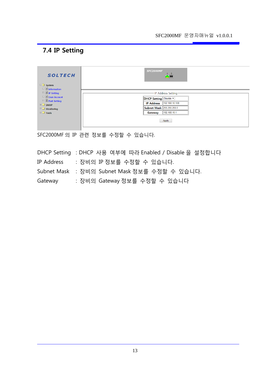### **7.4 IP Setting**

| <b>SOLTECH</b><br>$\Box$ System                | SFC2000MF<br>-2<br>ĠĔ         |
|------------------------------------------------|-------------------------------|
| $\Box$ Information<br>$\Box$ $\Box$ IP Setting | -IP Address Setting-          |
| □ <b>■ User Account</b><br>□ ■ Port Setting    | <b>DHCP Setting</b> Disable v |
| $\Box$ SNMP                                    | IP Address 192.168.10.100     |
| $\Box$ Monitoring                              | Subnet Mask 255.255.255.0     |
| $\Box$ Tools                                   | 192.168.10.1<br>Gateway       |
|                                                | Apply                         |

SFC2000MF 의 IP 관련 정보를 수정할 수 있습니다.

DHCP Setting : DHCP 사용 여부에 따라 Enabled / Disable 을 설정합니다 IP Address : 장비의 IP 정보를 수정할 수 있습니다. Subnet Mask : 장비의 Subnet Mask 정보를 수정할 수 있습니다. Gateway : 장비의 Gateway 정보를 수정할 수 있습니다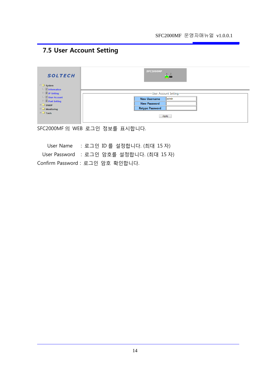# **7.5 User Account Setting**

| <b>SOLTECH</b>        | SFC2000MF<br><b>ATT</b>      |
|-----------------------|------------------------------|
| $\Box$ System         |                              |
| $\Box$ Information    |                              |
| □ ■ IP Setting        | -User Account Setting-       |
| <b>E</b> User Account | admin<br><b>New Username</b> |
| □ ■ Port Setting      | <b>New Password</b>          |
| $\square$ SNMP        |                              |
| $\Box$ Monitoring     | <b>Retype Password</b>       |
| $\Box$ Tools          | Apply                        |

SFC2000MF 의 WEB 로그인 정보를 표시합니다.

 User Name : 로그인 ID 를 설정합니다. (최대 15 자) User Password : 로그인 암호를 설정합니다. (최대 15 자) Confirm Password : 로그인 암호 확인합니다.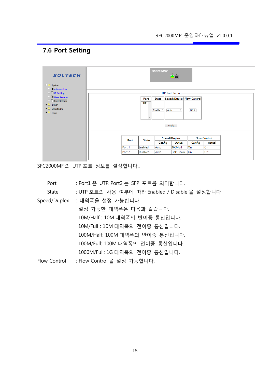# **7.6 Port Setting**

| <b>SOLTECH</b><br>$\Box$ System<br>□ information    |        |              | SFC2000MF    | $\begin{array}{c c} 1 & 2 \\ \hline \end{array}$ |        |                     |  |
|-----------------------------------------------------|--------|--------------|--------------|--------------------------------------------------|--------|---------------------|--|
| $\Box$ $\Box$ IP Setting                            |        |              |              | UTP Port Setting                                 |        |                     |  |
| <b>E</b> User Account<br>$\Box$ 2 Port Setting      |        | <b>Port</b>  | <b>State</b> | Speed/Duplex Flow Control                        |        |                     |  |
| <b>ED</b> SNMP<br>$\Box$ Monitoring<br>$\Box$ Tools |        | Port $1 -$   | Enable v     | Auto<br>$\pmb{\mathrm{v}}$<br>Apply              | Off 7  |                     |  |
|                                                     | Port   | <b>State</b> |              | Speed/Duplex                                     |        | <b>Flow Control</b> |  |
|                                                     |        |              | Config       | Actual                                           | Config | Actual              |  |
|                                                     | Port 1 | Enabled      | Auto         | 1000Full                                         | On     | ∥On                 |  |
|                                                     | Port 2 | Disabled     | Auto         | Link Down                                        | On     | $\mathsf{I}$        |  |
|                                                     |        |              |              |                                                  |        |                     |  |

SFC2000MF 의 UTP 포트 정보를 설정합니다..

| Port         | : Port1 은 UTP, Port2 는 SFP 포트를 의미합니다.         |
|--------------|-----------------------------------------------|
| State        | : UTP 포트의 사용 여부에 따라 Enabled / Disable 을 설정합니다 |
| Speed/Duplex | : 대역폭을 설정 가능합니다.                              |
|              | 설정 가능한 대역폭은 다음과 같습니다.                         |
|              | 10M/Half : 10M 대역폭의 반이중 통신입니다.                |
|              | 10M/Full:10M 대역폭의 전이중 통신입니다.                  |
|              | 100M/Half: 100M 대역폭의 반이중 통신입니다.               |
|              | 100M/Full: 100M 대역폭의 전이중 통신입니다.               |
|              | 1000M/Full: 1G 대역폭의 전이중 통신입니다.                |
| Flow Control | : Flow Control 을 설정 가능합니다.                    |
|              |                                               |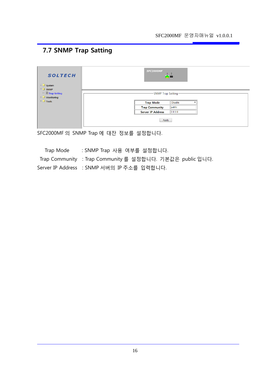# **7.7 SNMP Trap Satting**

| <b>SOLTECH</b><br>$\Box$ System<br>SNMP |                     | SFC2000MF<br>Œ۳          | $\overline{2}$ |  |  |  |
|-----------------------------------------|---------------------|--------------------------|----------------|--|--|--|
| $\Box$ $\Box$ Trap Setting              | -SNMP Trap Setting- |                          |                |  |  |  |
| $\Box$ Monitoring                       |                     |                          |                |  |  |  |
| $\Box$ Tools                            |                     | <b>Trap Mode</b>         | <b>Disable</b> |  |  |  |
|                                         |                     | <b>Trap Community</b>    | public         |  |  |  |
|                                         |                     | <b>Server IP Address</b> | 0.0.0.0        |  |  |  |
|                                         |                     | Apply                    |                |  |  |  |

SFC2000MF 의 SNMP Trap 에 대잔 정보를 설정합니다.

 Trap Mode : SNMP Trap 사용 여부를 설정합니다. Trap Community : Trap Community 를 설정합니다. 기본값은 public 입니다. Server IP Address : SNMP 서버의 IP 주소를 입력합니다.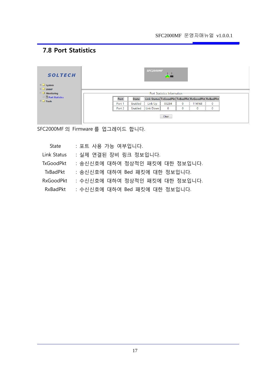# **7.8 Port Statistics**

| <b>SOLTECH</b><br>E System<br>$\Box$ SNMP |        |              | SFC2000MF | 12<br><b>AD</b>                                   |   |             |              |  |  |
|-------------------------------------------|--------|--------------|-----------|---------------------------------------------------|---|-------------|--------------|--|--|
| $\Box$ Monitoring                         |        |              |           | -Port Statistics Information:                     |   |             |              |  |  |
| <b>E</b> Port Statistics<br>$\Box$ Tools  | Port   | <b>State</b> |           | Link Status TxGoodPkt TxBadPkt RxGoodPkt RxBadPkt |   |             |              |  |  |
|                                           | Port 1 | Enabled      | Link Up   | 83284                                             | 0 | 114168      | $\mathbf{0}$ |  |  |
|                                           | Port 2 | Enabled      | Link Down | $\mathbf 0$                                       | 0 | $\mathbf 0$ | $\mathbf 0$  |  |  |
|                                           |        |              |           | Clear                                             |   |             |              |  |  |

SFC2000MF 의 Firmware 를 업그레이드 합니다.

| State            | : 포트 사용 가능 여부입니다.              |
|------------------|--------------------------------|
| Link Status      | : 실제 연결된 장비 링크 정보입니다.          |
| <b>TxGoodPkt</b> | : 송신신호에 대하여 정상적인 패킷에 대한 정보입니다. |
| <b>TxBadPkt</b>  | : 송신신호에 대하여 Bed 패킷에 대한 정보입니다.  |
| <b>RxGoodPkt</b> | : 수신신호에 대하여 정상적인 패킷에 대한 정보입니다. |
| <b>RxBadPkt</b>  | : 수신신호에 대하여 Bed 패킷에 대한 정보입니다.  |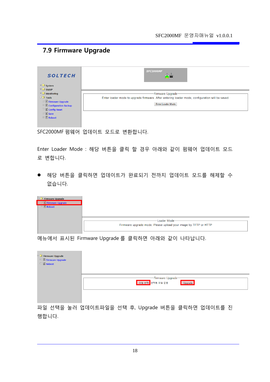### **7.9 Firmware Upgrade**

| <b>SOLTECH</b>                                                 | SFC2000MF<br>-2                                                                                 |
|----------------------------------------------------------------|-------------------------------------------------------------------------------------------------|
| $\Box$ System<br>$\Box$ SNMP                                   |                                                                                                 |
| $\Box$ Monitoring                                              | -Firmware Upgrade-                                                                              |
| $\Box$ $\Box$ Tools                                            | Enter loader mode to upgrade firmware. After entering loader mode, configuration will be saved. |
| E Firmware Upgrade                                             | <b>Enter Loader Mode</b>                                                                        |
| $\Box$ <b>Example 2</b> Configuration Backup<br>E Config Reset |                                                                                                 |
| $\Box$ 3 save                                                  |                                                                                                 |
| $\Box$ Reboot                                                  |                                                                                                 |
|                                                                |                                                                                                 |
|                                                                |                                                                                                 |

SFC2000MF 펌웨어 업데이트 모드로 변환합니다.

Enter Loader Mode : 해당 버튼을 클릭 할 경우 아래와 같이 펌웨어 업데이트 모드 로 변합니다.

 해당 버튼을 클릭하면 업데이트가 완료되기 전까지 업데이트 모드를 해제할 수 없습니다.

| Firmware Upgrade<br>$\Box$ $\Box$ Firmware Upgrade |                                                                                 |
|----------------------------------------------------|---------------------------------------------------------------------------------|
| $\Box$ <b>Exeboot</b>                              |                                                                                 |
|                                                    | Loader Mode-<br>Firmware upgrade mode. Please upload your image by TFTP or HTTP |

메뉴에서 표시된 Firmware Upgrade 를 클릭하면 아래와 같이 나타납니다.

| Firmware Upgrade<br>$\Box$ <b>E</b> Firmware Upgrade<br>$\Box$ Reboot |                                                                  |
|-----------------------------------------------------------------------|------------------------------------------------------------------|
|                                                                       | -Firmware Upgrade-<br><mark>『파일 선택</mark> 』 선택된 파일 없음<br>Upgrade |

파일 선택을 눌러 업데이트파일을 선택 후, Upgrade 버튼을 클릭하면 업데이트를 진 행합니다.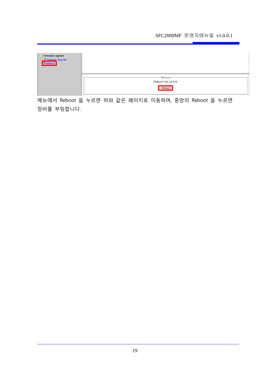#### SFC2000MF 운영자매뉴얼 v1.0.0.1

| 日全 Firmware Upgrade<br>日目Firmware Upgrade<br>日 <mark>目Reboot</mark> |                                          |
|---------------------------------------------------------------------|------------------------------------------|
|                                                                     | -Reboot-<br>Reboot the switch.<br>Reboot |

메뉴에서 Reboot 을 누르면 위와 같은 페이지로 이동하며, 중앙의 Reboot 을 누르면 장비를 부팅합니다.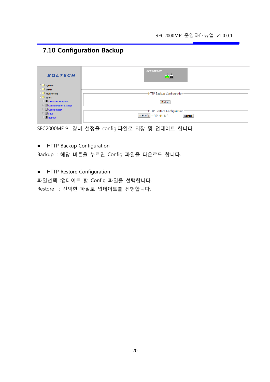# **7.10 Configuration Backup**

| <b>SOLTECH</b>                   | SFC2000MF                   |
|----------------------------------|-----------------------------|
| $\Box$ System                    |                             |
| $\Box$ SNMP                      |                             |
| $\Box$ Monitoring                | -HTTP Backup Configuration- |
| $\Box$ Tools                     |                             |
| $\Box$ <b>E</b> Firmware Upgrade | Backup                      |
| 日 <b>Onfiguration Backup</b>     |                             |
| □ ■ Config Reset                 | HTTP Restore Configuration  |
| $\Box$ Save                      | 파일 선택 선택된 파일 없음             |
| $\Box$ Reboot                    | Restore                     |
|                                  |                             |

SFC2000MF 의 장비 설정을 config 파일로 저장 및 업데이트 합니다.

**•** HTTP Backup Configuration

Backup : 해당 버튼을 누르면 Config 파일을 다운로드 합니다.

**•** HTTP Restore Configuration

파일선택 :업데이트 할 Config 파일을 선택합니다.

Restore : 선택한 파일로 업데이트를 진행합니다.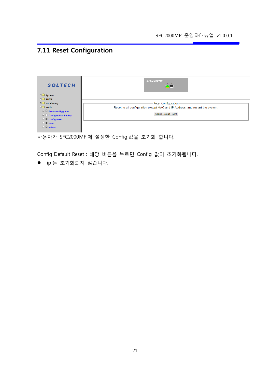# **7.11 Reset Configuration**

| <b>SOLTECH</b>              | <b>SFC2000MF</b>                                                              |
|-----------------------------|-------------------------------------------------------------------------------|
| $\Box$ System               |                                                                               |
| $\equiv$ $\Box$ SNMP        |                                                                               |
| $\Box$ Monitoring           | -Reset Configuration-                                                         |
| $\Box$ Tools                | Reset to all configuration except MAC and IP Address, and restart the system. |
| E Firmware Upgrade          |                                                                               |
| $\Box$ Configuration Backup | <b>Config Default Reset</b>                                                   |
| <b>E</b> Config Reset       |                                                                               |
| $\Box$ Save                 |                                                                               |
| 日 <b>B</b> Reboot           |                                                                               |

사용자가 SFC2000MF 에 설정한 Config 값을 초기화 합니다.

Config Default Reset : 해당 버튼을 누르면 Config 값이 초기화됩니다.

ip 는 초기화되지 않습니다.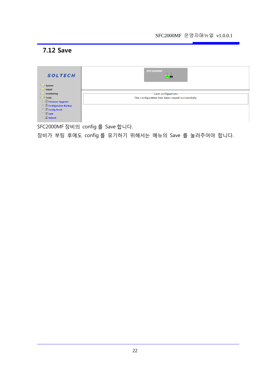# **7.12 Save**

| <b>SFC2000MF</b>                               |
|------------------------------------------------|
|                                                |
|                                                |
| -Save configuarions-                           |
| The configuration has been saved successfully. |
|                                                |
|                                                |
|                                                |
|                                                |
|                                                |
|                                                |

SFC2000MF 장비의 config 를 Save 합니다.

장비가 부팅 후에도 config 를 유기하기 위해서는 메뉴의 Save 를 눌러주어야 합니다.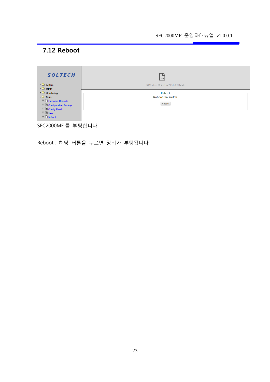# **7.12 Reboot**

| <b>SOLTECH</b>                               | ПQ<br>$\sim$       |
|----------------------------------------------|--------------------|
| $\Box$ System                                | 네트워크 변경이 감지되었습니다.  |
| $\Box$ SNMP                                  |                    |
| $\Box$ Monitoring                            | -Reboot-           |
| $\Box$ Tools                                 | Reboot the switch. |
| 日 irmware Upgrade                            |                    |
| $\Box$ <b>Example 2</b> Configuration Backup | Reboot             |
| D Config Reset                               |                    |
| $\Box$ 3 save                                |                    |
| E <b>Reboot</b>                              |                    |
|                                              |                    |

SFC2000MF 를 부팅합니다.

Reboot : 해당 버튼을 누르면 장비가 부팅됩니다.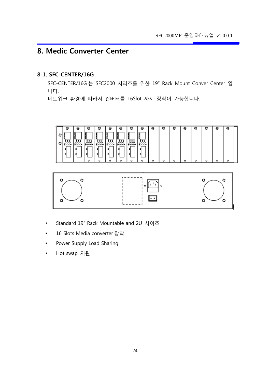### **8. Medic Converter Center**

#### **8-1. SFC-CENTER/16G**

SFC-CENTER/16G 는 SFC2000 시리즈를 위한 19" Rack Mount Conver Center 입 니다.

네트워크 환경에 따라서 컨버터를 16Slot 까지 장착이 가능합니다.





- Standard 19" Rack Mountable and 2U 사이즈
- 16 Slots Media converter 장착
- Power Supply Load Sharing
- Hot swap 지원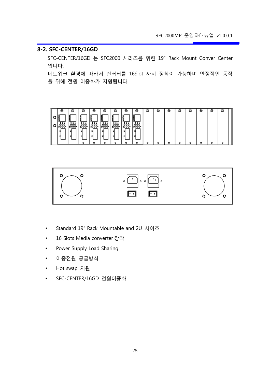#### **8-2. SFC-CENTER/16GD**

SFC-CENTER/16GD 는 SFC2000 시리즈를 위한 19" Rack Mount Conver Center 입니다.

네트워크 환경에 따라서 컨버터를 16Slot 까지 장착이 가능하며 안정적인 동작 을 위해 전원 이중화가 지원됩니다.





- Standard 19" Rack Mountable and 2U 사이즈
- 16 Slots Media converter 장착
- Power Supply Load Sharing
- 이중전원 공급방식
- Hot swap 지원
- SFC-CENTER/16GD 전원이중화